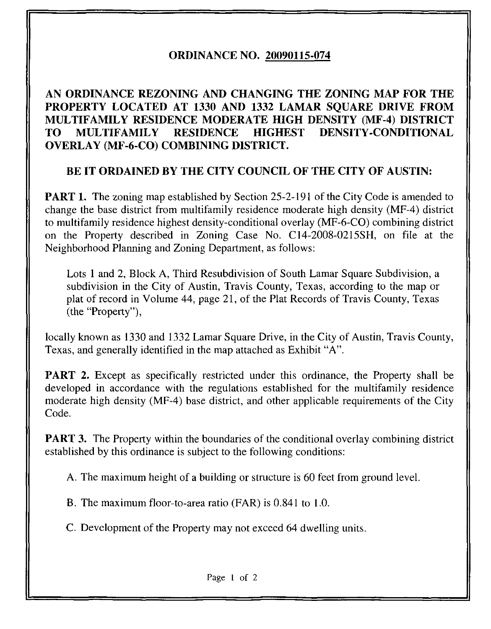## ORDINANCE NO. 20090115-074

## AN ORDINANCE REZONING AND CHANGING THE ZONING MAP FOR THE PROPERTY LOCATED AT 1330 AND 1332 LAMAR SOUARE DRIVE FROM MULTIFAMILY RESIDENCE MODERATE HIGH DENSITY (MF-4) DISTRICT TO MULTIFAMILY RESIDENCE HIGHEST DENSITY-CONDITIONAL OVERLAY (MF-6-CO) COMBINING DISTRICT.

## BE IT ORDAINED BY THE CITY COUNCIL OF THE CITY OF AUSTIN:

**PART 1.** The zoning map established by Section 25-2-191 of the City Code is amended to change the base district from multifamily residence moderate high density (MF-4) district to multifamily residence highest density-conditional overlay (MF-6-CO) combining district on the Property described in Zoning Case No. Cl 4-2008-0215SH, on file at the Neighborhood Planning and Zoning Department, as follows:

Lots 1 and 2, Block A, Third Resubdivision of South Lamar Square Subdivision, a subdivision in the City of Austin, Travis County, Texas, according to the map or plat of record in Volume 44, page 21, of the Plat Records of Travis County, Texas (the "Property"),

locally known as 1330 and 1332 Lamar Square Drive, in the City of Austin, Travis County, Texas, and generally identified in the map attached as Exhibit "A".

PART 2. Except as specifically restricted under this ordinance, the Property shall be developed in accordance with the regulations established for the multifamily residence moderate high density (MF-4) base district, and other applicable requirements of the City Code.

**PART 3.** The Property within the boundaries of the conditional overlay combining district established by this ordinance is subject to the following conditions:

A. The maximum height of a building or structure is 60 feet from ground level.

B. The maximum floor-to-area ratio (FAR) is 0.841 to 1.0.

C. Development of the Property may not exceed 64 dwelling units.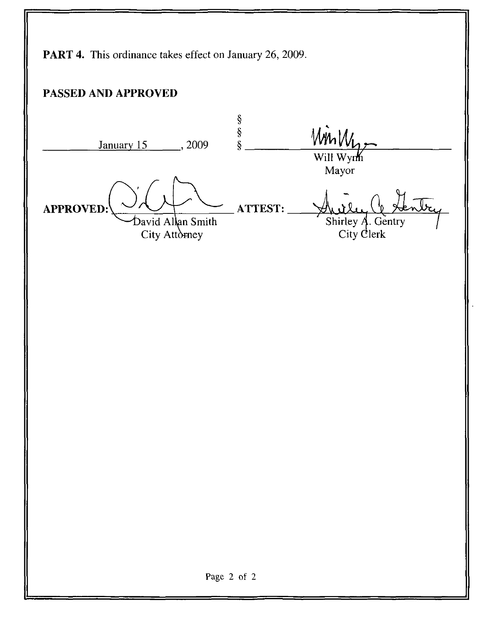PART 4. This ordinance takes effect on January 26, 2009. PASSED AND APPROVED  $\frac{8}{8}$ WinW January 15 , 2009 Will Wynh Mayor APPROVED: ATTEST: David Allan Smith Shirley  $\AA$ . Gentry City Attorney City Clerk Page 2 of 2